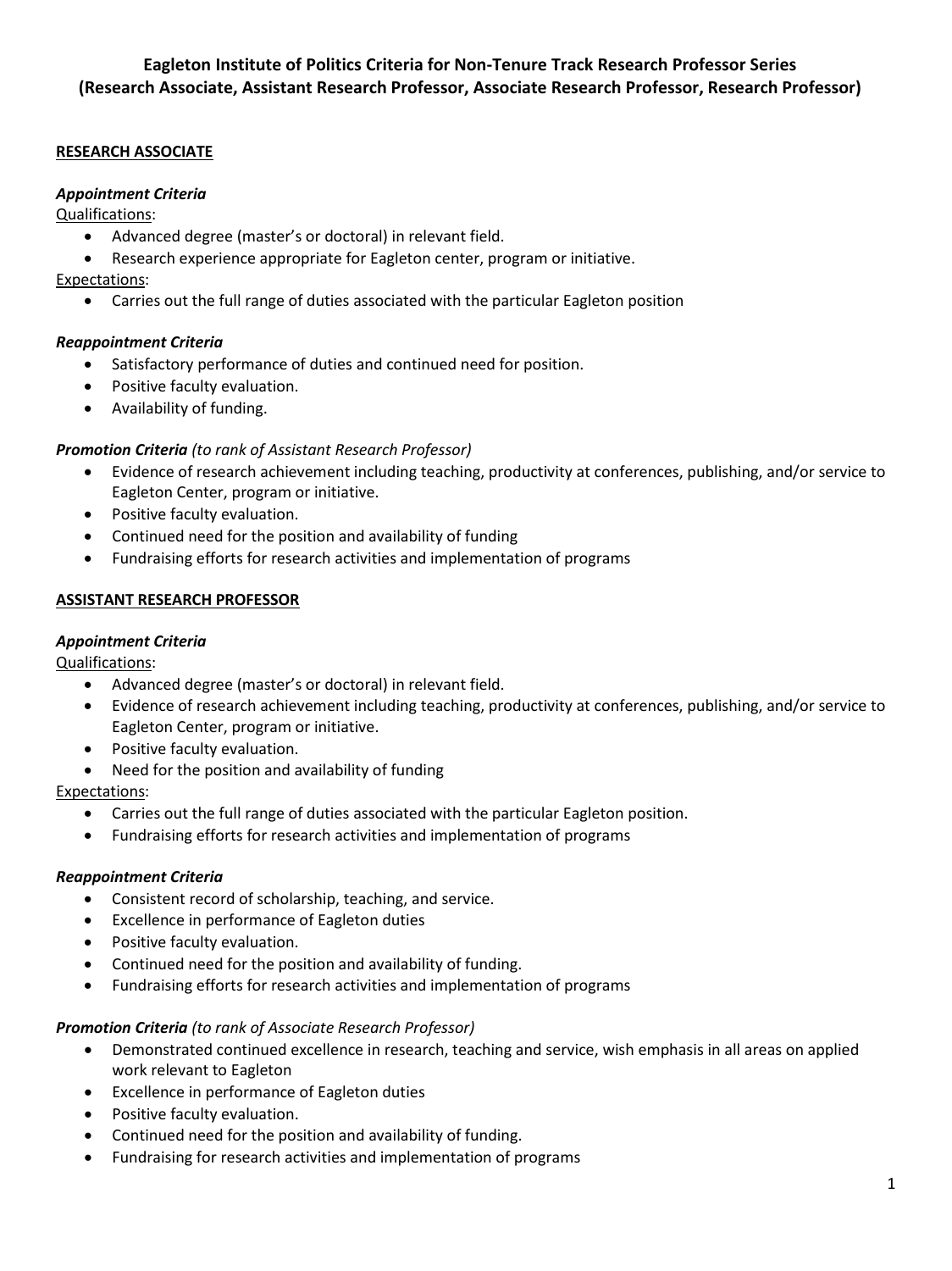# **RESEARCH ASSOCIATE**

## *Appointment Criteria*

Qualifications:

- Advanced degree (master's or doctoral) in relevant field.
- Research experience appropriate for Eagleton center, program or initiative.

# Expectations:

• Carries out the full range of duties associated with the particular Eagleton position

# *Reappointment Criteria*

- Satisfactory performance of duties and continued need for position.
- Positive faculty evaluation.
- Availability of funding.

# *Promotion Criteria (to rank of Assistant Research Professor)*

- Evidence of research achievement including teaching, productivity at conferences, publishing, and/or service to Eagleton Center, program or initiative.
- Positive faculty evaluation.
- Continued need for the position and availability of funding
- Fundraising efforts for research activities and implementation of programs

# **ASSISTANT RESEARCH PROFESSOR**

## *Appointment Criteria*

Qualifications:

- Advanced degree (master's or doctoral) in relevant field.
- Evidence of research achievement including teaching, productivity at conferences, publishing, and/or service to Eagleton Center, program or initiative.
- Positive faculty evaluation.
- Need for the position and availability of funding

Expectations:

- Carries out the full range of duties associated with the particular Eagleton position.
- Fundraising efforts for research activities and implementation of programs

### *Reappointment Criteria*

- Consistent record of scholarship, teaching, and service.
- Excellence in performance of Eagleton duties
- Positive faculty evaluation.
- Continued need for the position and availability of funding.
- Fundraising efforts for research activities and implementation of programs

### *Promotion Criteria (to rank of Associate Research Professor)*

- Demonstrated continued excellence in research, teaching and service, wish emphasis in all areas on applied work relevant to Eagleton
- Excellence in performance of Eagleton duties
- Positive faculty evaluation.
- Continued need for the position and availability of funding.
- Fundraising for research activities and implementation of programs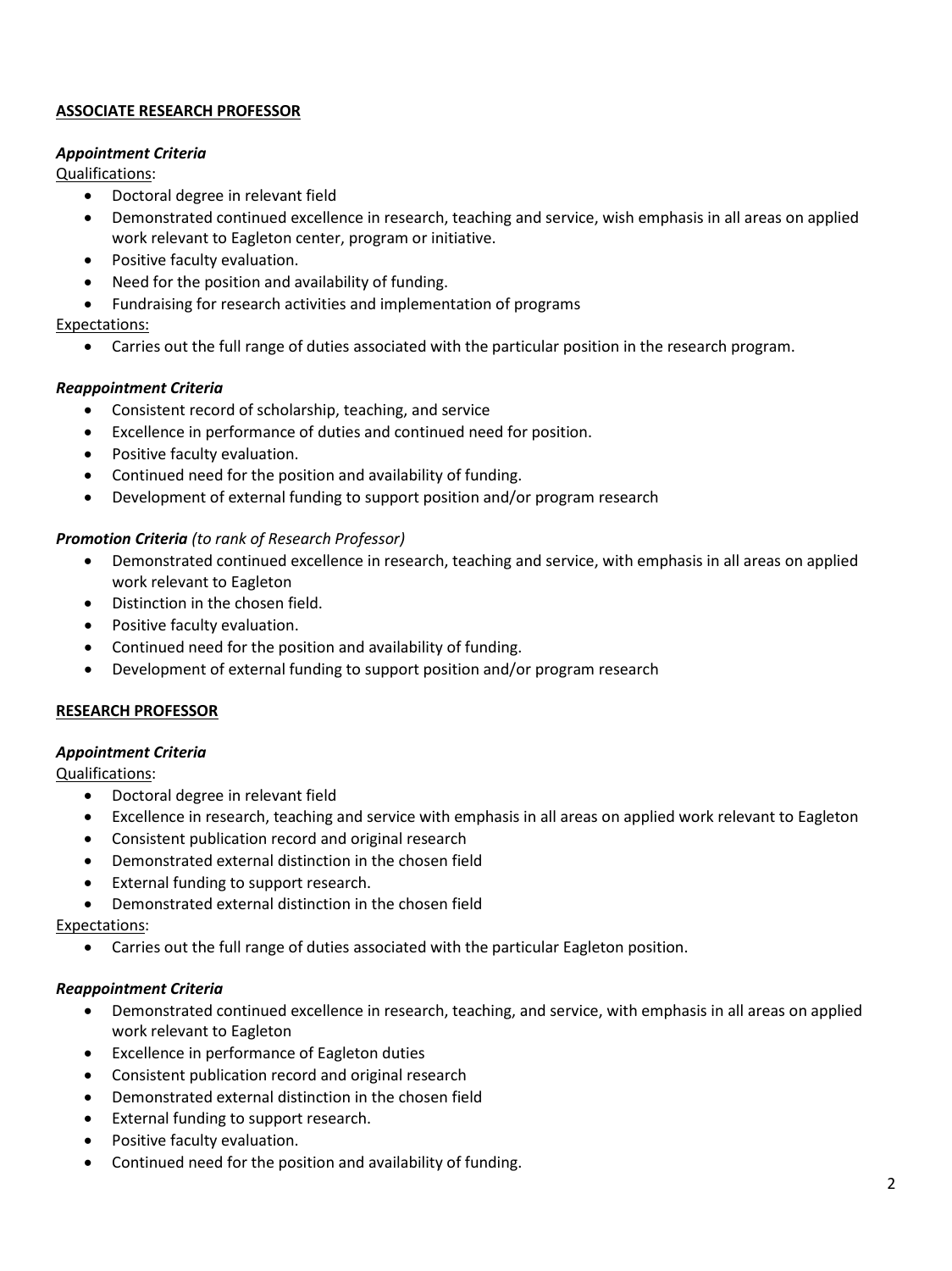## **ASSOCIATE RESEARCH PROFESSOR**

#### *Appointment Criteria*

Qualifications:

- Doctoral degree in relevant field
- Demonstrated continued excellence in research, teaching and service, wish emphasis in all areas on applied work relevant to Eagleton center, program or initiative.
- Positive faculty evaluation.
- Need for the position and availability of funding.
- Fundraising for research activities and implementation of programs

# Expectations:

• Carries out the full range of duties associated with the particular position in the research program.

# *Reappointment Criteria*

- Consistent record of scholarship, teaching, and service
- Excellence in performance of duties and continued need for position.
- Positive faculty evaluation.
- Continued need for the position and availability of funding.
- Development of external funding to support position and/or program research

# *Promotion Criteria (to rank of Research Professor)*

- Demonstrated continued excellence in research, teaching and service, with emphasis in all areas on applied work relevant to Eagleton
- Distinction in the chosen field.
- Positive faculty evaluation.
- Continued need for the position and availability of funding.
- Development of external funding to support position and/or program research

### **RESEARCH PROFESSOR**

### *Appointment Criteria*

Qualifications:

- Doctoral degree in relevant field
- Excellence in research, teaching and service with emphasis in all areas on applied work relevant to Eagleton
- Consistent publication record and original research
- Demonstrated external distinction in the chosen field
- External funding to support research.
- Demonstrated external distinction in the chosen field

### Expectations:

• Carries out the full range of duties associated with the particular Eagleton position.

### *Reappointment Criteria*

- Demonstrated continued excellence in research, teaching, and service, with emphasis in all areas on applied work relevant to Eagleton
- Excellence in performance of Eagleton duties
- Consistent publication record and original research
- Demonstrated external distinction in the chosen field
- External funding to support research.
- Positive faculty evaluation.
- Continued need for the position and availability of funding.